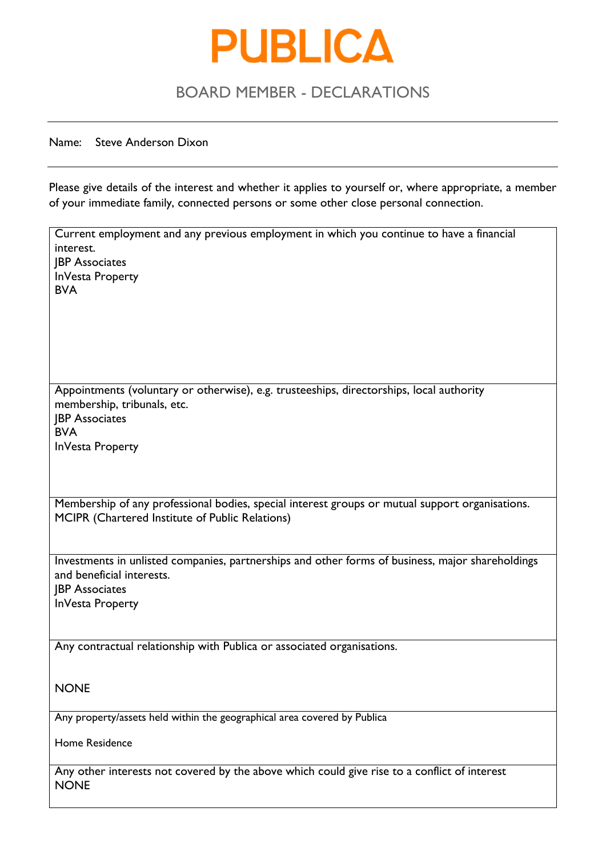

#### Name: Steve Anderson Dixon

Please give details of the interest and whether it applies to yourself or, where appropriate, a member of your immediate family, connected persons or some other close personal connection.

| Current employment and any previous employment in which you continue to have a financial<br>interest. |
|-------------------------------------------------------------------------------------------------------|
| <b>JBP</b> Associates                                                                                 |
| InVesta Property                                                                                      |
| <b>BVA</b>                                                                                            |
|                                                                                                       |
|                                                                                                       |
|                                                                                                       |
|                                                                                                       |
|                                                                                                       |
|                                                                                                       |
|                                                                                                       |
| Appointments (voluntary or otherwise), e.g. trusteeships, directorships, local authority              |
| membership, tribunals, etc.                                                                           |
| <b>JBP</b> Associates                                                                                 |
| <b>BVA</b>                                                                                            |
| InVesta Property                                                                                      |
|                                                                                                       |
|                                                                                                       |
|                                                                                                       |
|                                                                                                       |
| Membership of any professional bodies, special interest groups or mutual support organisations.       |
| MCIPR (Chartered Institute of Public Relations)                                                       |
|                                                                                                       |
|                                                                                                       |
| Investments in unlisted companies, partnerships and other forms of business, major shareholdings      |
| and beneficial interests.                                                                             |
| <b>JBP</b> Associates                                                                                 |
| InVesta Property                                                                                      |
|                                                                                                       |
|                                                                                                       |
| Any contractual relationship with Publica or associated organisations.                                |
|                                                                                                       |
|                                                                                                       |
|                                                                                                       |
| <b>NONE</b>                                                                                           |
|                                                                                                       |
| Any property/assets held within the geographical area covered by Publica                              |
|                                                                                                       |
| <b>Home Residence</b>                                                                                 |
|                                                                                                       |
| Any other interests not covered by the above which could give rise to a conflict of interest          |
| <b>NONE</b>                                                                                           |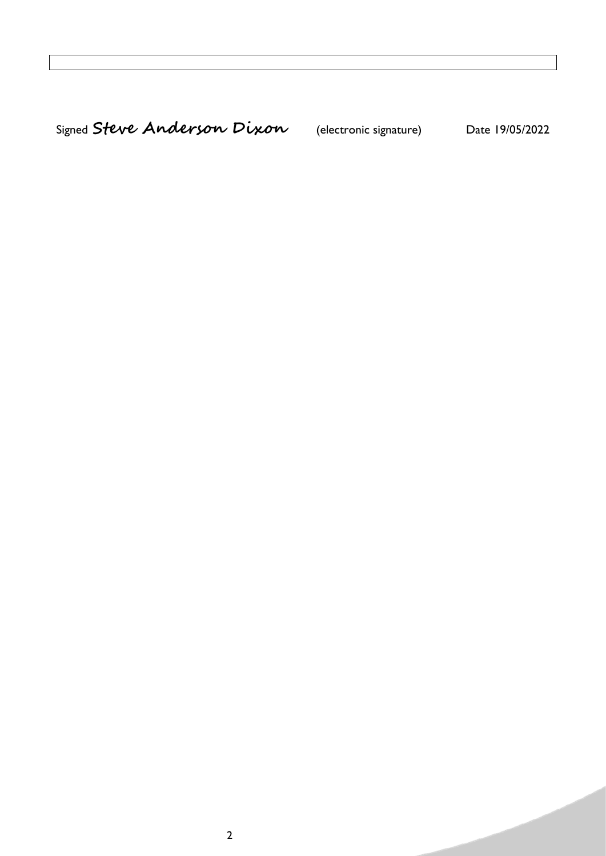Signed **Steve Anderson Dixon** (electronic signature) Date 19/05/2022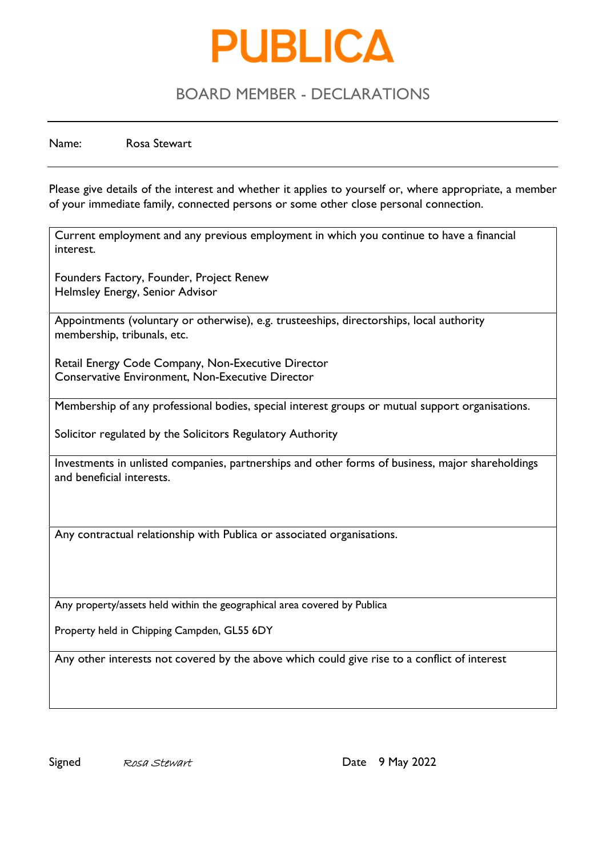

Name: Rosa Stewart

Please give details of the interest and whether it applies to yourself or, where appropriate, a member of your immediate family, connected persons or some other close personal connection.

Current employment and any previous employment in which you continue to have a financial interest.

Founders Factory, Founder, Project Renew Helmsley Energy, Senior Advisor

Appointments (voluntary or otherwise), e.g. trusteeships, directorships, local authority membership, tribunals, etc.

Retail Energy Code Company, Non-Executive Director Conservative Environment, Non-Executive Director

Membership of any professional bodies, special interest groups or mutual support organisations.

Solicitor regulated by the Solicitors Regulatory Authority

Investments in unlisted companies, partnerships and other forms of business, major shareholdings and beneficial interests.

Any contractual relationship with Publica or associated organisations.

Any property/assets held within the geographical area covered by Publica

Property held in Chipping Campden, GL55 6DY

Any other interests not covered by the above which could give rise to a conflict of interest

Signed Rosa Stewart Communication Cate 9 May 2022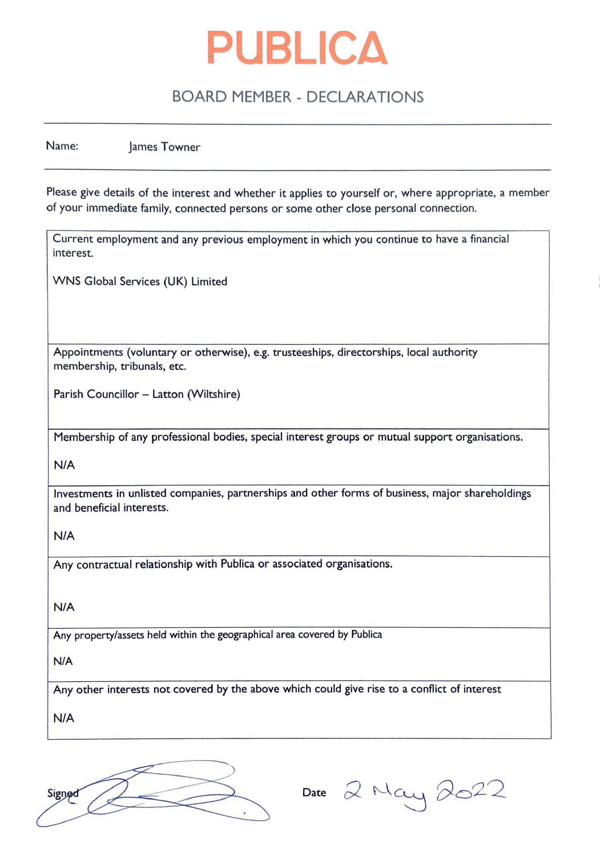

Name: James Towner

Please give details of the interest and whether it applies to yourself or, where appropriate, a member of your immediate family, connected persons or some other close personal connection.

Current employment and any previous employment in which you continue to have a financial interest.

WNS Global Services (UK) Limited

Appointments (voluntary or otherwise}, e.g. trusteeships, directorships, local authority membership, tribunals, etc.

Parish Councillor - Latton (Wiltshire)

Membership of any professional bodies, special interest groups or mutual support organisations.

**N/A** 

Investments in unlisted companies, partnerships and other forms of business, major shareholdings and beneficial interests.

**N/A** 

Any contractual relationship with Publica or associated organisations.

**N/A** 

Any property/assets held within the geographical area covered by Publica

N/A

Any other interests not covered by the above which could give rise to a conflict of interest

N/A



Date 2 May 2022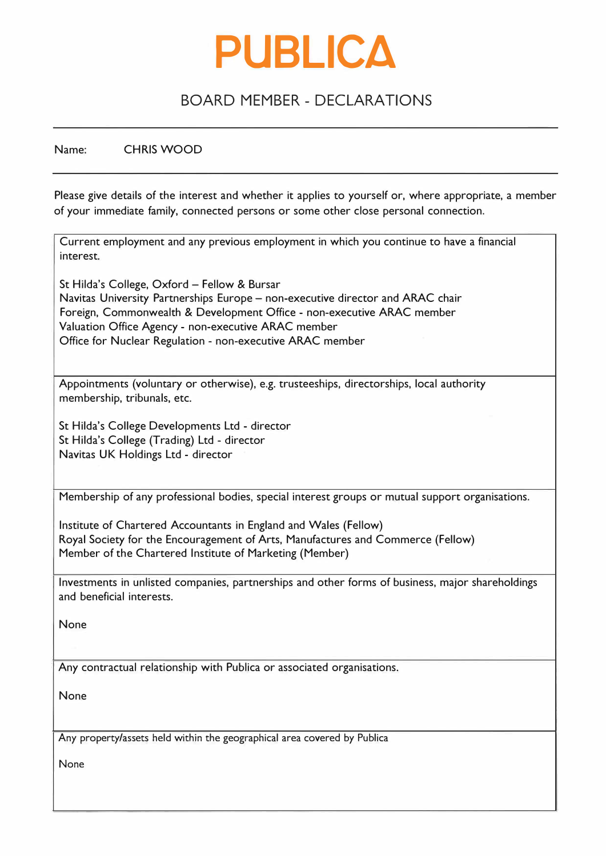

Name: CHRIS WOOD

Please give details of the interest and whether it applies to yourself or, where appropriate, a member of your immediate family, connected persons or some other close personal connection.

| Current employment and any previous employment in which you continue to have a financial<br>interest.                          |
|--------------------------------------------------------------------------------------------------------------------------------|
| St Hilda's College, Oxford – Fellow & Bursar<br>Navitas University Partnerships Europe – non-executive director and ARAC chair |
| Foreign, Commonwealth & Development Office - non-executive ARAC member                                                         |
| Valuation Office Agency - non-executive ARAC member                                                                            |
| Office for Nuclear Regulation - non-executive ARAC member                                                                      |
|                                                                                                                                |
| Appointments (voluntary or otherwise), e.g. trusteeships, directorships, local authority<br>membership, tribunals, etc.        |
| St Hilda's College Developments Ltd - director                                                                                 |
| St Hilda's College (Trading) Ltd - director                                                                                    |
| Navitas UK Holdings Ltd - director                                                                                             |
|                                                                                                                                |
| Membership of any professional bodies, special interest groups or mutual support organisations.                                |

Institute of Chartered Accountants in England and Wales (Fellow) Royal Society for the Encouragement of Arts, Manufactures and Commerce (Fellow) Member of the Chartered Institute of Marketing (Member)

Investments in unlisted companies, partnerships and other forms of business, major shareholdings and beneficial interests.

None

Any contractual relationship with Publica or associated organisations.

None

Any property/assets held within the geographical area covered by Publica

None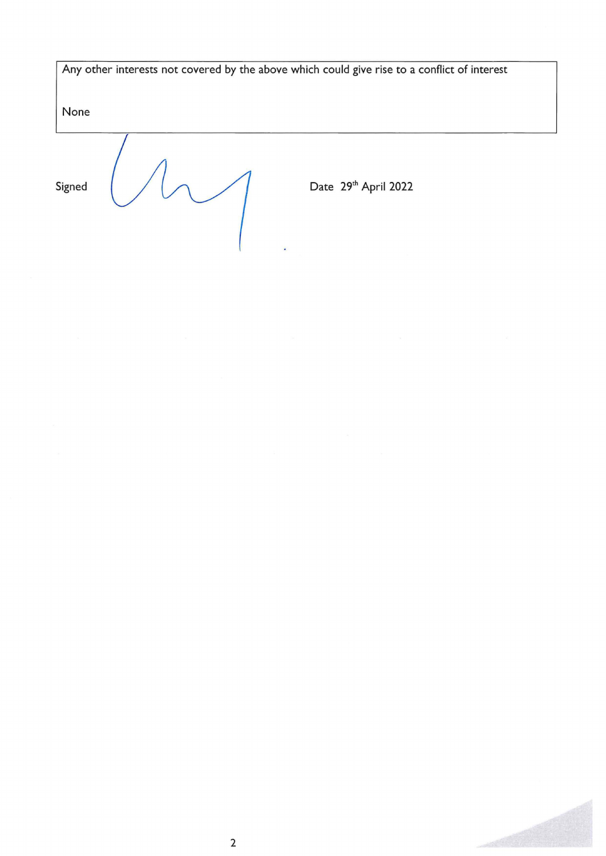Any other interests not covered by the above which could give rise to a conflict of interest

None

Signed  $\bigcup$   $\bigcup$  Date  $29^{\text{th}}$  April 2022